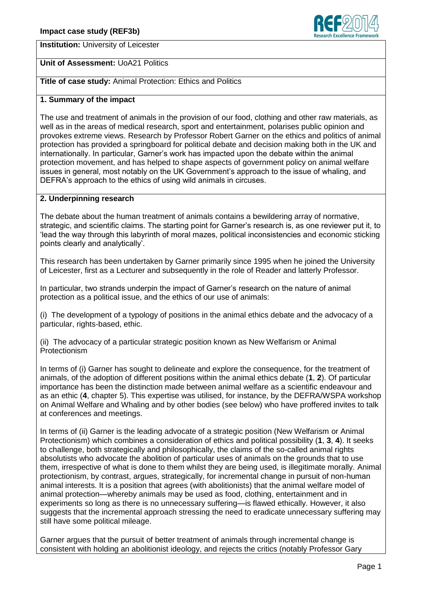**Institution:** University of Leicester



# **Unit of Assessment:** UoA21 Politics

**Title of case study:** Animal Protection: Ethics and Politics

# **1. Summary of the impact**

The use and treatment of animals in the provision of our food, clothing and other raw materials, as well as in the areas of medical research, sport and entertainment, polarises public opinion and provokes extreme views. Research by Professor Robert Garner on the ethics and politics of animal protection has provided a springboard for political debate and decision making both in the UK and internationally. In particular, Garner's work has impacted upon the debate within the animal protection movement, and has helped to shape aspects of government policy on animal welfare issues in general, most notably on the UK Government's approach to the issue of whaling, and DEFRA's approach to the ethics of using wild animals in circuses.

### **2. Underpinning research**

The debate about the human treatment of animals contains a bewildering array of normative, strategic, and scientific claims. The starting point for Garner's research is, as one reviewer put it, to 'lead the way through this labyrinth of moral mazes, political inconsistencies and economic sticking points clearly and analytically'.

This research has been undertaken by Garner primarily since 1995 when he joined the University of Leicester, first as a Lecturer and subsequently in the role of Reader and latterly Professor.

In particular, two strands underpin the impact of Garner's research on the nature of animal protection as a political issue, and the ethics of our use of animals:

(i) The development of a typology of positions in the animal ethics debate and the advocacy of a particular, rights-based, ethic.

(ii) The advocacy of a particular strategic position known as New Welfarism or Animal Protectionism

In terms of (i) Garner has sought to delineate and explore the consequence, for the treatment of animals, of the adoption of different positions within the animal ethics debate (**1**, **2**). Of particular importance has been the distinction made between animal welfare as a scientific endeavour and as an ethic (**4**, chapter 5). This expertise was utilised, for instance, by the DEFRA/WSPA workshop on Animal Welfare and Whaling and by other bodies (see below) who have proffered invites to talk at conferences and meetings.

In terms of (ii) Garner is the leading advocate of a strategic position (New Welfarism or Animal Protectionism) which combines a consideration of ethics and political possibility (**1**, **3**, **4**). It seeks to challenge, both strategically and philosophically, the claims of the so-called animal rights absolutists who advocate the abolition of particular uses of animals on the grounds that to use them, irrespective of what is done to them whilst they are being used, is illegitimate morally. Animal protectionism, by contrast, argues, strategically, for incremental change in pursuit of non-human animal interests. It is a position that agrees (with abolitionists) that the animal welfare model of animal protection—whereby animals may be used as food, clothing, entertainment and in experiments so long as there is no unnecessary suffering—is flawed ethically. However, it also suggests that the incremental approach stressing the need to eradicate unnecessary suffering may still have some political mileage.

Garner argues that the pursuit of better treatment of animals through incremental change is consistent with holding an abolitionist ideology, and rejects the critics (notably Professor Gary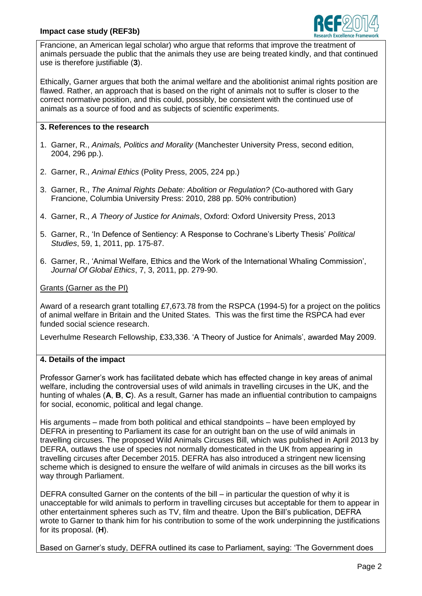

Francione, an American legal scholar) who argue that reforms that improve the treatment of animals persuade the public that the animals they use are being treated kindly, and that continued use is therefore justifiable (**3**).

Ethically, Garner argues that both the animal welfare and the abolitionist animal rights position are flawed. Rather, an approach that is based on the right of animals not to suffer is closer to the correct normative position, and this could, possibly, be consistent with the continued use of animals as a source of food and as subjects of scientific experiments.

### **3. References to the research**

- 1.Garner, R., *Animals, Politics and Morality* (Manchester University Press, second edition, 2004, 296 pp.).
- 2. Garner, R., *Animal Ethics* (Polity Press, 2005, 224 pp.)
- 3. Garner, R., *The Animal Rights Debate: Abolition or Regulation?* (Co-authored with Gary Francione, Columbia University Press: 2010, 288 pp. 50% contribution)
- 4. Garner, R., *A Theory of Justice for Animals*, Oxford: Oxford University Press, 2013
- 5. Garner, R., 'In Defence of Sentiency: A Response to Cochrane's Liberty Thesis' *Political Studies*, 59, 1, 2011, pp. 175-87.
- 6. Garner, R., 'Animal Welfare, Ethics and the Work of the International Whaling Commission', *Journal Of Global Ethics*, 7, 3, 2011, pp. 279-90.

#### Grants (Garner as the PI)

Award of a research grant totalling £7,673.78 from the RSPCA (1994-5) for a project on the politics of animal welfare in Britain and the United States. This was the first time the RSPCA had ever funded social science research.

Leverhulme Research Fellowship, £33,336. 'A Theory of Justice for Animals', awarded May 2009.

# **4. Details of the impact**

Professor Garner's work has facilitated debate which has effected change in key areas of animal welfare, including the controversial uses of wild animals in travelling circuses in the UK, and the hunting of whales (**A**, **B**, **C**). As a result, Garner has made an influential contribution to campaigns for social, economic, political and legal change.

His arguments – made from both political and ethical standpoints – have been employed by DEFRA in presenting to Parliament its case for an outright ban on the use of wild animals in travelling circuses. The proposed Wild Animals Circuses Bill, which was published in April 2013 by DEFRA, outlaws the use of species not normally domesticated in the UK from appearing in travelling circuses after December 2015. DEFRA has also introduced a stringent new licensing scheme which is designed to ensure the welfare of wild animals in circuses as the bill works its way through Parliament.

DEFRA consulted Garner on the contents of the bill – in particular the question of why it is unacceptable for wild animals to perform in travelling circuses but acceptable for them to appear in other entertainment spheres such as TV, film and theatre. Upon the Bill's publication, DEFRA wrote to Garner to thank him for his contribution to some of the work underpinning the justifications for its proposal. (**H**).

Based on Garner's study, DEFRA outlined its case to Parliament, saying: 'The Government does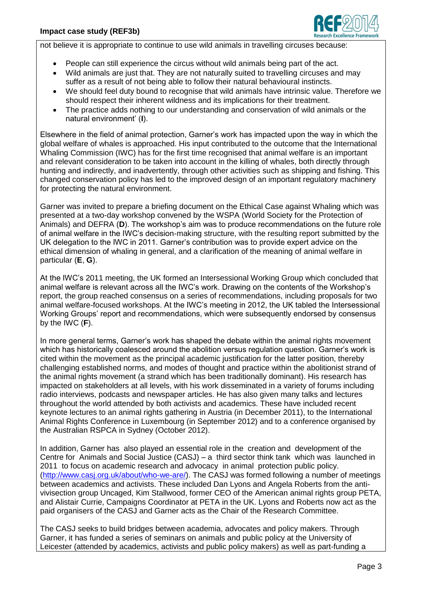

not believe it is appropriate to continue to use wild animals in travelling circuses because:

- People can still experience the circus without wild animals being part of the act.
- Wild animals are just that. They are not naturally suited to travelling circuses and may suffer as a result of not being able to follow their natural behavioural instincts.
- We should feel duty bound to recognise that wild animals have intrinsic value. Therefore we should respect their inherent wildness and its implications for their treatment.
- The practice adds nothing to our understanding and conservation of wild animals or the natural environment' (**I**).

Elsewhere in the field of animal protection, Garner's work has impacted upon the way in which the global welfare of whales is approached. His input contributed to the outcome that the International Whaling Commission (IWC) has for the first time recognised that animal welfare is an important and relevant consideration to be taken into account in the killing of whales, both directly through hunting and indirectly, and inadvertently, through other activities such as shipping and fishing. This changed conservation policy has led to the improved design of an important regulatory machinery for protecting the natural environment.

Garner was invited to prepare a briefing document on the Ethical Case against Whaling which was presented at a two-day workshop convened by the WSPA (World Society for the Protection of Animals) and DEFRA (**D**). The workshop's aim was to produce recommendations on the future role of animal welfare in the IWC's decision-making structure, with the resulting report submitted by the UK delegation to the IWC in 2011. Garner's contribution was to provide expert advice on the ethical dimension of whaling in general, and a clarification of the meaning of animal welfare in particular (**E**, **G**).

At the IWC's 2011 meeting, the UK formed an Intersessional Working Group which concluded that animal welfare is relevant across all the IWC's work. Drawing on the contents of the Workshop's report, the group reached consensus on a series of recommendations, including proposals for two animal welfare-focused workshops. At the IWC's meeting in 2012, the UK tabled the Intersessional Working Groups' report and recommendations, which were subsequently endorsed by consensus by the IWC (**F**).

In more general terms, Garner's work has shaped the debate within the animal rights movement which has historically coalesced around the abolition versus regulation question. Garner's work is cited within the movement as the principal academic justification for the latter position, thereby challenging established norms, and modes of thought and practice within the abolitionist strand of the animal rights movement (a strand which has been traditionally dominant). His research has impacted on stakeholders at all levels, with his work disseminated in a variety of forums including radio interviews, podcasts and newspaper articles. He has also given many talks and lectures throughout the world attended by both activists and academics. These have included recent keynote lectures to an animal rights gathering in Austria (in December 2011), to the International Animal Rights Conference in Luxembourg (in September 2012) and to a conference organised by the Australian RSPCA in Sydney (October 2012).

In addition, Garner has also played an essential role in the creation and development of the Centre for Animals and Social Justice (CASJ) – a third sector think tank which was launched in 2011 to focus on academic research and advocacy in animal protection public policy. [\(http://www.casj.org.uk/about/who-we-are/\)](http://www.casj.org.uk/about/who-we-are/). The CASJ was formed following a number of meetings between academics and activists. These included Dan Lyons and Angela Roberts from the antivivisection group Uncaged, Kim Stallwood, former CEO of the American animal rights group PETA, and Alistair Currie, Campaigns Coordinator at PETA in the UK. Lyons and Roberts now act as the paid organisers of the CASJ and Garner acts as the Chair of the Research Committee.

The CASJ seeks to build bridges between academia, advocates and policy makers. Through Garner, it has funded a series of seminars on animals and public policy at the University of Leicester (attended by academics, activists and public policy makers) as well as part-funding a